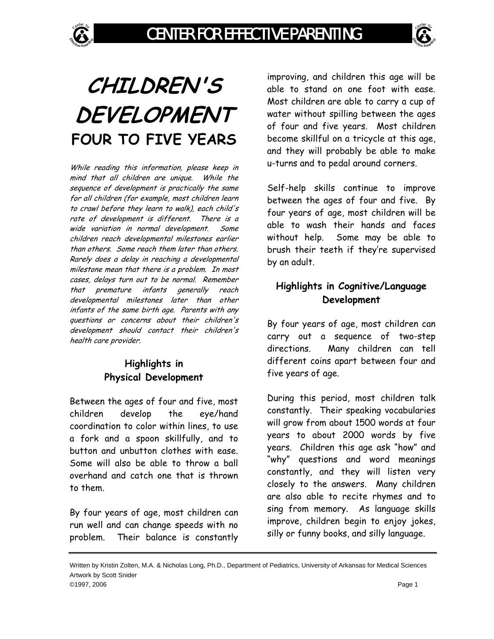



While reading this information, please keep in mind that all children are unique. While the sequence of development is practically the same for all children (for example, most children learn to crawl before they learn to walk), each child's rate of development is different. There is a wide variation in normal development. Some children reach developmental milestones earlier than others. Some reach them later than others. Rarely does a delay in reaching a developmental milestone mean that there is a problem. In most cases, delays turn out to be normal. Remember that premature infants generally reach developmental milestones later than other infants of the same birth age. Parents with any questions or concerns about their children's development should contact their children's health care provider.

## **Highlights in Physical Development**

Between the ages of four and five, most children develop the eye/hand coordination to color within lines, to use a fork and a spoon skillfully, and to button and unbutton clothes with ease. Some will also be able to throw a ball overhand and catch one that is thrown to them.

By four years of age, most children can run well and can change speeds with no problem. Their balance is constantly improving, and children this age will be able to stand on one foot with ease. Most children are able to carry a cup of water without spilling between the ages of four and five years. Most children become skillful on a tricycle at this age, and they will probably be able to make u-turns and to pedal around corners.

Self-help skills continue to improve between the ages of four and five. By four years of age, most children will be able to wash their hands and faces without help. Some may be able to brush their teeth if they're supervised by an adult.

## **Highlights in Cognitive/Language Development**

By four years of age, most children can carry out a sequence of two-step directions. Many children can tell different coins apart between four and five years of age.

During this period, most children talk constantly. Their speaking vocabularies will grow from about 1500 words at four years to about 2000 words by five years. Children this age ask "how" and "why" questions and word meanings constantly, and they will listen very closely to the answers. Many children are also able to recite rhymes and to sing from memory. As language skills improve, children begin to enjoy jokes, silly or funny books, and silly language.

Written by Kristin Zolten, M.A. & Nicholas Long, Ph.D., Department of Pediatrics, University of Arkansas for Medical Sciences Artwork by Scott Snider ©1997, 2006 Page 1